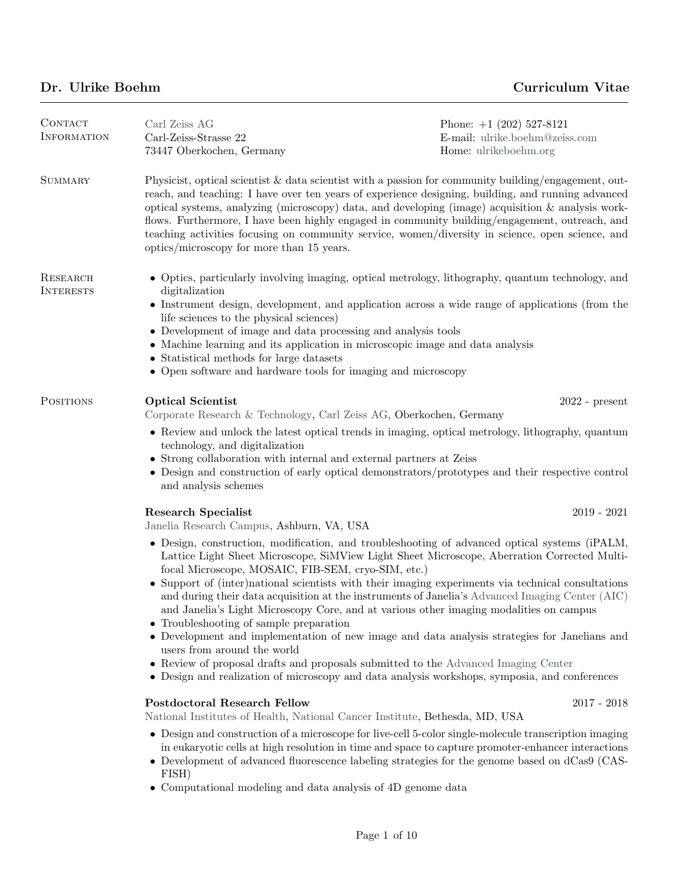## Dr. Ulrike Boehm Curriculum Vitae

| CONTACT<br><b>INFORMATION</b> | Carl Zeiss AG<br>Carl-Zeiss-Strasse 22<br>73447 Oberkochen, Germany                                                                                                                                                                                                                                                                                                                                                                                                                                                                                                                                                                                                                                                                                                                                                                                                                                                  | Phone: $+1$ (202) 527-8121<br>E-mail: ulrike.boehm@zeiss.com<br>Home: ulrikeboehm.org |
|-------------------------------|----------------------------------------------------------------------------------------------------------------------------------------------------------------------------------------------------------------------------------------------------------------------------------------------------------------------------------------------------------------------------------------------------------------------------------------------------------------------------------------------------------------------------------------------------------------------------------------------------------------------------------------------------------------------------------------------------------------------------------------------------------------------------------------------------------------------------------------------------------------------------------------------------------------------|---------------------------------------------------------------------------------------|
| <b>SUMMARY</b>                | Physicist, optical scientist & data scientist with a passion for community building/engagement, out-<br>reach, and teaching: I have over ten years of experience designing, building, and running advanced<br>optical systems, analyzing (microscopy) data, and developing (image) acquisition $\&$ analysis work-<br>flows. Furthermore, I have been highly engaged in community building/engagement, outreach, and<br>teaching activities focusing on community service, women/diversity in science, open science, and<br>optics/microscopy for more than 15 years.                                                                                                                                                                                                                                                                                                                                                |                                                                                       |
| RESEARCH<br><b>INTERESTS</b>  | • Optics, particularly involving imaging, optical metrology, lithography, quantum technology, and<br>digitalization<br>• Instrument design, development, and application across a wide range of applications (from the<br>life sciences to the physical sciences)<br>$\bullet~$ Development of image and data processing and analysis tools<br>• Machine learning and its application in microscopic image and data analysis<br>• Statistical methods for large datasets<br>• Open software and hardware tools for imaging and microscopy                                                                                                                                                                                                                                                                                                                                                                            |                                                                                       |
| POSITIONS                     | <b>Optical Scientist</b><br>Corporate Research & Technology, Carl Zeiss AG, Oberkochen, Germany                                                                                                                                                                                                                                                                                                                                                                                                                                                                                                                                                                                                                                                                                                                                                                                                                      | $2022$ - present                                                                      |
|                               | • Review and unlock the latest optical trends in imaging, optical metrology, lithography, quantum<br>technology, and digitalization<br>• Strong collaboration with internal and external partners at Zeiss<br>• Design and construction of early optical demonstrators/prototypes and their respective control<br>and analysis schemes                                                                                                                                                                                                                                                                                                                                                                                                                                                                                                                                                                               |                                                                                       |
|                               | <b>Research Specialist</b><br>Janelia Research Campus, Ashburn, VA, USA                                                                                                                                                                                                                                                                                                                                                                                                                                                                                                                                                                                                                                                                                                                                                                                                                                              | $2019 - 2021$                                                                         |
|                               | • Design, construction, modification, and troubleshooting of advanced optical systems (iPALM,<br>Lattice Light Sheet Microscope, SiMView Light Sheet Microscope, Aberration Corrected Multi-<br>focal Microscope, MOSAIC, FIB-SEM, cryo-SIM, etc.)<br>• Support of (inter)national scientists with their imaging experiments via technical consultations<br>and during their data acquisition at the instruments of Janelia's Advanced Imaging Center (AIC)<br>and Janelia's Light Microscopy Core, and at various other imaging modalities on campus<br>• Troubleshooting of sample preparation<br>Development and implementation of new image and data analysis strategies for Janelians and<br>users from around the world<br>• Review of proposal drafts and proposals submitted to the Advanced Imaging Center<br>• Design and realization of microscopy and data analysis workshops, symposia, and conferences |                                                                                       |
|                               | <b>Postdoctoral Research Fellow</b><br>National Institutes of Health, National Cancer Institute, Bethesda, MD, USA                                                                                                                                                                                                                                                                                                                                                                                                                                                                                                                                                                                                                                                                                                                                                                                                   | $2017 - 2018$                                                                         |
|                               | • Design and construction of a microscope for live-cell 5-color single-molecule transcription imaging<br>in eukaryotic cells at high resolution in time and space to capture promoter-enhancer interactions<br>• Development of advanced fluorescence labeling strategies for the genome based on dCas9 (CAS-<br>FISH)<br>• Computational modeling and data analysis of 4D genome data                                                                                                                                                                                                                                                                                                                                                                                                                                                                                                                               |                                                                                       |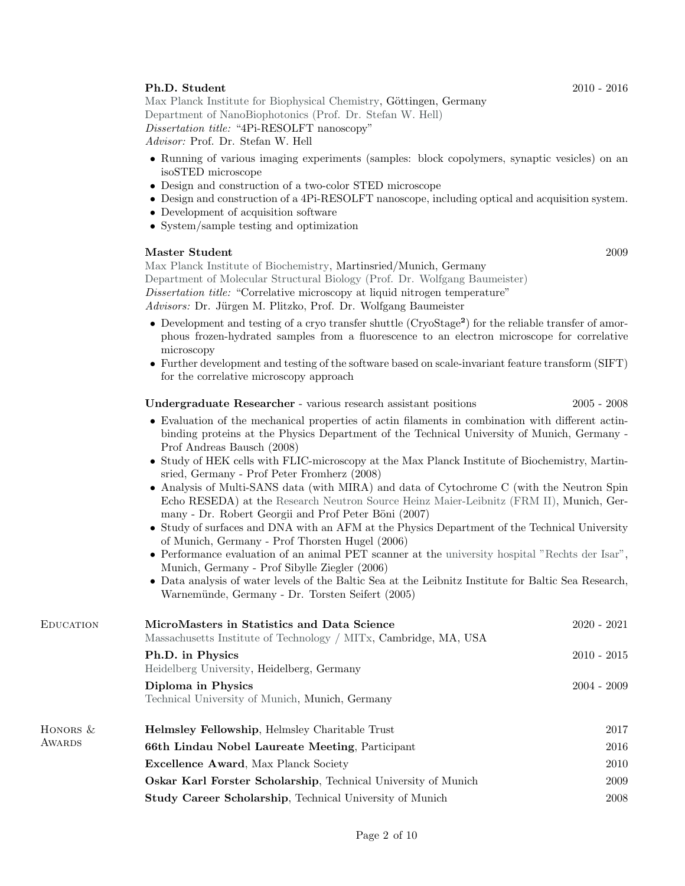## **Ph.D. Student** 2010 - 2016

[Max Planck Institute for Biophysical Chemistry,](https://www.mpibpc.mpg.de/en) Göttingen, Germany [Department of NanoBiophotonics \(Prof. Dr. Stefan W. Hell\)](http://www.4pi.de/) Dissertation title: "4Pi-RESOLFT nanoscopy"

Advisor: Prof. Dr. Stefan W. Hell

- Running of various imaging experiments (samples: block copolymers, synaptic vesicles) on an isoSTED microscope
- Design and construction of a two-color STED microscope
- Design and construction of a 4Pi-RESOLFT nanoscope, including optical and acquisition system.
- Development of acquisition software
- System/sample testing and optimization

## Master Student 2009

[Max Planck Institute of Biochemistry,](https://www.biochem.mpg.de/en) Martinsried/Munich, Germany [Department of Molecular Structural Biology \(Prof. Dr. Wolfgang Baumeister\)](https://www.biochem.mpg.de/baumeister) Dissertation title: "Correlative microscopy at liquid nitrogen temperature"

Advisors: Dr. Jürgen M. Plitzko, Prof. Dr. Wolfgang Baumeister

- Development and testing of a cryo transfer shuttle (CryoStage<sup>2</sup>) for the reliable transfer of amorphous frozen-hydrated samples from a fluorescence to an electron microscope for correlative microscopy
- Further development and testing of the software based on scale-invariant feature transform (SIFT) for the correlative microscopy approach

Undergraduate Researcher - various research assistant positions 2005 - 2008

- Evaluation of the mechanical properties of actin filaments in combination with different actinbinding proteins at the Physics Department of the Technical University of Munich, Germany - Prof Andreas Bausch (2008)
- Study of HEK cells with FLIC-microscopy at the Max Planck Institute of Biochemistry, Martinsried, Germany - Prof Peter Fromherz (2008)
- Analysis of Multi-SANS data (with MIRA) and data of Cytochrome C (with the Neutron Spin Echo RESEDA) at the [Research Neutron Source Heinz Maier-Leibnitz \(FRM II\),](https://www.frm2.tum.de/en/home/) Munich, Germany - Dr. Robert Georgii and Prof Peter Böni (2007)
- Study of surfaces and DNA with an AFM at the Physics Department of the Technical University of Munich, Germany - Prof Thorsten Hugel (2006)
- Performance evaluation of an animal PET scanner at the [university hospital "Rechts der Isar",](https://www.mri.tum.de/) Munich, Germany - Prof Sibylle Ziegler (2006)
- Data analysis of water levels of the Baltic Sea at the Leibnitz Institute for Baltic Sea Research, Warnemünde, Germany - Dr. Torsten Seifert (2005)

| <b>EDUCATION</b> | MicroMasters in Statistics and Data Science<br>Massachusetts Institute of Technology / MITx, Cambridge, MA, USA | $2020 - 2021$ |
|------------------|-----------------------------------------------------------------------------------------------------------------|---------------|
|                  | Ph.D. in Physics<br>Heidelberg University, Heidelberg, Germany                                                  | $2010 - 2015$ |
|                  | Diploma in Physics<br>Technical University of Munich, Munich, Germany                                           | $2004 - 2009$ |
| HONORS $&$       | <b>Helmsley Fellowship, Helmsley Charitable Trust</b>                                                           | 2017          |
| AWARDS           | 66th Lindau Nobel Laureate Meeting, Participant                                                                 | 2016          |
|                  | <b>Excellence Award, Max Planck Society</b>                                                                     | 2010          |
|                  | <b>Oskar Karl Forster Scholarship, Technical University of Munich</b>                                           | 2009          |
|                  | <b>Study Career Scholarship, Technical University of Munich</b>                                                 | 2008          |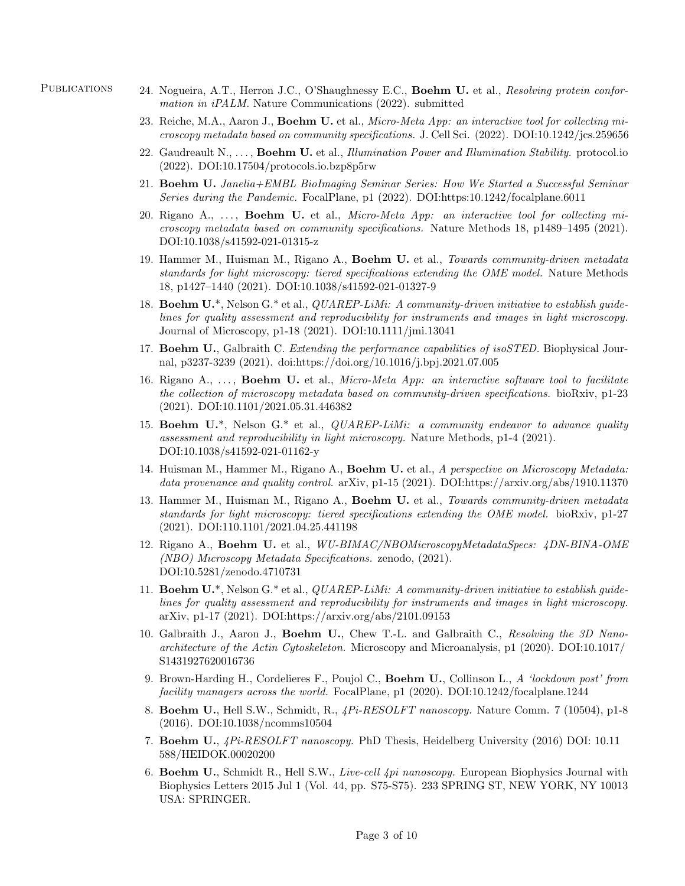- PUBLICATIONS 24. Nogueira, A.T., Herron J.C., O'Shaughnessy E.C., Boehm U. et al., Resolving protein conformation in iPALM. Nature Communications (2022). submitted
	- 23. Reiche, M.A., Aaron J., Boehm U. et al., Micro-Meta App: an interactive tool for collecting microscopy metadata based on community specifications. J. Cell Sci. (2022). DOI:10.1242/jcs.259656
	- 22. Gaudreault  $N_1, \ldots,$  Boehm U. et al., *Illumination Power and Illumination Stability*. protocol.io (2022). DOI:10.17504/protocols.io.bzp8p5rw
	- 21. Boehm U. Janelia+EMBL BioImaging Seminar Series: How We Started a Successful Seminar Series during the Pandemic. FocalPlane, p1 (2022). DOI:https:10.1242/focalplane.6011
	- 20. Rigano A.,  $\ldots$ , **Boehm U.** et al., *Micro-Meta App: an interactive tool for collecting mi*croscopy metadata based on community specifications. Nature Methods 18, p1489–1495 (2021). DOI:10.1038/s41592-021-01315-z
	- 19. Hammer M., Huisman M., Rigano A., Boehm U. et al., Towards community-driven metadata standards for light microscopy: tiered specifications extending the OME model. Nature Methods 18, p1427–1440 (2021). DOI:10.1038/s41592-021-01327-9
	- 18. Boehm  $U^*$ , Nelson  $G^*$  et al., *QUAREP-LiMi: A community-driven initiative to establish quide*lines for quality assessment and reproducibility for instruments and images in light microscopy. Journal of Microscopy, p1-18 (2021). DOI:10.1111/jmi.13041
	- 17. Boehm U., Galbraith C. Extending the performance capabilities of isoSTED. Biophysical Journal, p3237-3239 (2021). doi:https://doi.org/10.1016/j.bpj.2021.07.005
	- 16. Rigano A.,  $\dots$ , **Boehm U.** et al., *Micro-Meta App: an interactive software tool to facilitate* the collection of microscopy metadata based on community-driven specifications. bioRxiv, p1-23 (2021). DOI:10.1101/2021.05.31.446382
	- 15. Boehm U.\*, Nelson G.\* et al., *QUAREP-LiMi: a community endeavor to advance quality* assessment and reproducibility in light microscopy. Nature Methods, p1-4 (2021). DOI:10.1038/s41592-021-01162-y
	- 14. Huisman M., Hammer M., Rigano A., Boehm U. et al., A perspective on Microscopy Metadata: data provenance and quality control. arXiv, p1-15 (2021). DOI:https://arxiv.org/abs/1910.11370
	- 13. Hammer M., Huisman M., Rigano A., Boehm U. et al., Towards community-driven metadata standards for light microscopy: tiered specifications extending the OME model. bioRxiv, p1-27 (2021). DOI:110.1101/2021.04.25.441198
	- 12. Rigano A., Boehm U. et al., WU-BIMAC/NBOMicroscopyMetadataSpecs: 4DN-BINA-OME (NBO) Microscopy Metadata Specifications. zenodo, (2021). DOI:10.5281/zenodo.4710731
	- 11. Boehm  $U^*$ , Nelson G.\* et al., *QUAREP-LiMi: A community-driven initiative to establish guide*lines for quality assessment and reproducibility for instruments and images in light microscopy. arXiv, p1-17 (2021). DOI:https://arxiv.org/abs/2101.09153
	- 10. Galbraith J., Aaron J., Boehm U., Chew T.-L. and Galbraith C., Resolving the 3D Nanoarchitecture of the Actin Cytoskeleton. Microscopy and Microanalysis, p1 (2020). DOI:10.1017/ S1431927620016736
	- 9. Brown-Harding H., Cordelieres F., Poujol C., Boehm U., Collinson L., A 'lockdown post' from facility managers across the world. FocalPlane, p1 (2020). DOI:10.1242/focalplane.1244
	- 8. Boehm U., Hell S.W., Schmidt, R., 4Pi-RESOLFT nanoscopy. Nature Comm. 7 (10504), p1-8 (2016). DOI:10.1038/ncomms10504
	- 7. Boehm U., 4Pi-RESOLFT nanoscopy. PhD Thesis, Heidelberg University (2016) DOI: 10.11 588/HEIDOK.00020200
	- 6. Boehm U., Schmidt R., Hell S.W., Live-cell 4pi nanoscopy. European Biophysics Journal with Biophysics Letters 2015 Jul 1 (Vol. 44, pp. S75-S75). 233 SPRING ST, NEW YORK, NY 10013 USA: SPRINGER.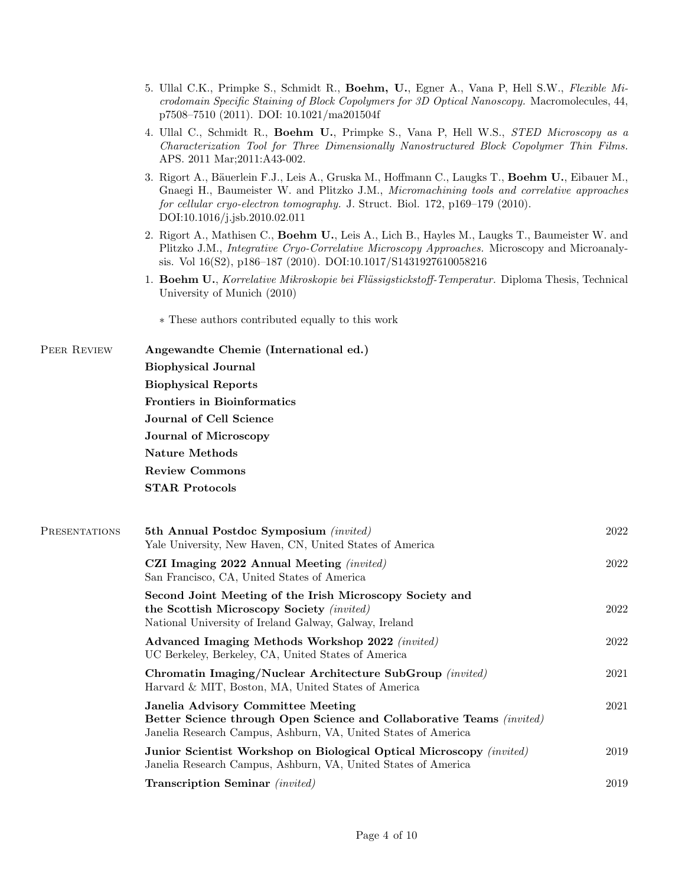- 5. Ullal C.K., Primpke S., Schmidt R., Boehm, U., Egner A., Vana P, Hell S.W., Flexible Microdomain Specific Staining of Block Copolymers for 3D Optical Nanoscopy. Macromolecules, 44, p7508–7510 (2011). DOI: 10.1021/ma201504f
- 4. Ullal C., Schmidt R., Boehm U., Primpke S., Vana P, Hell W.S., STED Microscopy as a Characterization Tool for Three Dimensionally Nanostructured Block Copolymer Thin Films. APS. 2011 Mar;2011:A43-002.
- 3. Rigort A., Bäuerlein F.J., Leis A., Gruska M., Hoffmann C., Laugks T., Boehm U., Eibauer M., Gnaegi H., Baumeister W. and Plitzko J.M., Micromachining tools and correlative approaches for cellular cryo-electron tomography. J. Struct. Biol. 172, p169–179 (2010). DOI:10.1016/j.jsb.2010.02.011
- 2. Rigort A., Mathisen C., Boehm U., Leis A., Lich B., Hayles M., Laugks T., Baumeister W. and Plitzko J.M., Integrative Cryo-Correlative Microscopy Approaches. Microscopy and Microanalysis. Vol 16(S2), p186–187 (2010). DOI:10.1017/S1431927610058216
- 1. Boehm U., Korrelative Mikroskopie bei Flüssigstickstoff-Temperatur. Diploma Thesis, Technical University of Munich (2010)

∗ These authors contributed equally to this work

PEER REVIEW Angewandte Chemie (International ed.) Biophysical Journal

Biophysical Reports

Frontiers in Bioinformatics

Journal of Cell Science

Journal of Microscopy

Nature Methods

Review Commons

STAR Protocols

| <b>PRESENTATIONS</b> | 5th Annual Postdoc Symposium (invited)<br>Yale University, New Haven, CN, United States of America                                                                            | 2022 |
|----------------------|-------------------------------------------------------------------------------------------------------------------------------------------------------------------------------|------|
|                      | CZI Imaging 2022 Annual Meeting <i>(invited)</i><br>San Francisco, CA, United States of America                                                                               | 2022 |
|                      | Second Joint Meeting of the Irish Microscopy Society and<br>the Scottish Microscopy Society (invited)<br>National University of Ireland Galway, Galway, Ireland               | 2022 |
|                      | Advanced Imaging Methods Workshop 2022 (invited)<br>UC Berkeley, Berkeley, CA, United States of America                                                                       | 2022 |
|                      | Chromatin Imaging/Nuclear Architecture SubGroup (invited)<br>Harvard & MIT, Boston, MA, United States of America                                                              | 2021 |
|                      | Janelia Advisory Committee Meeting<br>Better Science through Open Science and Collaborative Teams (invited)<br>Janelia Research Campus, Ashburn, VA, United States of America | 2021 |
|                      | Junior Scientist Workshop on Biological Optical Microscopy (invited)<br>Janelia Research Campus, Ashburn, VA, United States of America                                        | 2019 |
|                      | Transcription Seminar (invited)                                                                                                                                               | 2019 |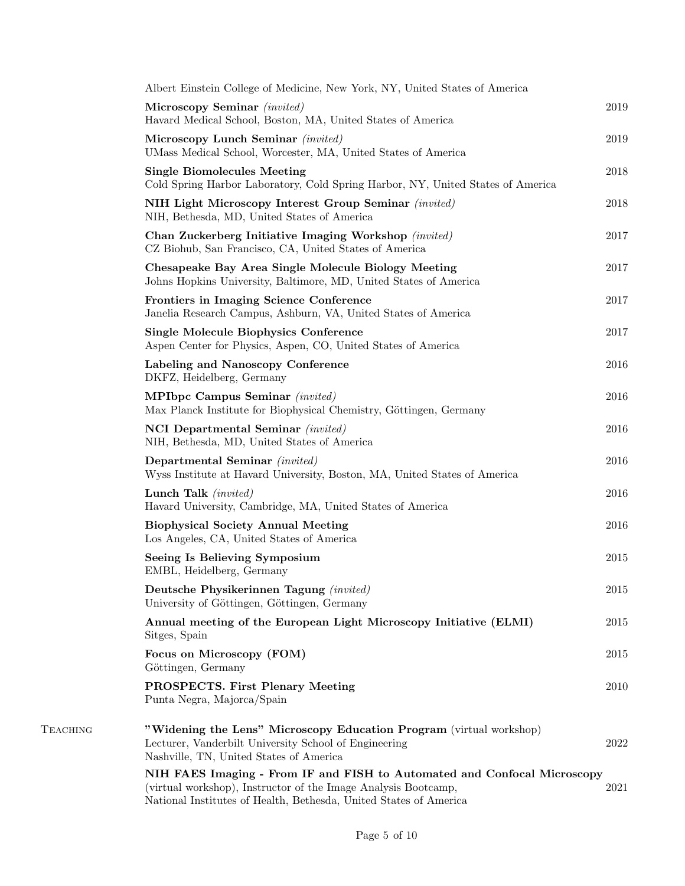|          | Albert Einstein College of Medicine, New York, NY, United States of America                                                                                                                                     |      |
|----------|-----------------------------------------------------------------------------------------------------------------------------------------------------------------------------------------------------------------|------|
|          | Microscopy Seminar (invited)<br>Havard Medical School, Boston, MA, United States of America                                                                                                                     | 2019 |
|          | Microscopy Lunch Seminar (invited)<br>UMass Medical School, Worcester, MA, United States of America                                                                                                             | 2019 |
|          | <b>Single Biomolecules Meeting</b><br>Cold Spring Harbor Laboratory, Cold Spring Harbor, NY, United States of America                                                                                           | 2018 |
|          | NIH Light Microscopy Interest Group Seminar (invited)<br>NIH, Bethesda, MD, United States of America                                                                                                            | 2018 |
|          | Chan Zuckerberg Initiative Imaging Workshop (invited)<br>CZ Biohub, San Francisco, CA, United States of America                                                                                                 | 2017 |
|          | Chesapeake Bay Area Single Molecule Biology Meeting<br>Johns Hopkins University, Baltimore, MD, United States of America                                                                                        | 2017 |
|          | Frontiers in Imaging Science Conference<br>Janelia Research Campus, Ashburn, VA, United States of America                                                                                                       | 2017 |
|          | <b>Single Molecule Biophysics Conference</b><br>Aspen Center for Physics, Aspen, CO, United States of America                                                                                                   | 2017 |
|          | Labeling and Nanoscopy Conference<br>DKFZ, Heidelberg, Germany                                                                                                                                                  | 2016 |
|          | <b>MPIbpc Campus Seminar</b> (invited)<br>Max Planck Institute for Biophysical Chemistry, Göttingen, Germany                                                                                                    | 2016 |
|          | NCI Departmental Seminar (invited)<br>NIH, Bethesda, MD, United States of America                                                                                                                               | 2016 |
|          | Departmental Seminar (invited)<br>Wyss Institute at Havard University, Boston, MA, United States of America                                                                                                     | 2016 |
|          | Lunch Talk ( <i>invited</i> )<br>Havard University, Cambridge, MA, United States of America                                                                                                                     | 2016 |
|          | <b>Biophysical Society Annual Meeting</b><br>Los Angeles, CA, United States of America                                                                                                                          | 2016 |
|          | Seeing Is Believing Symposium<br>EMBL, Heidelberg, Germany                                                                                                                                                      | 2015 |
|          | Deutsche Physikerinnen Tagung (invited)<br>University of Göttingen, Göttingen, Germany                                                                                                                          | 2015 |
|          | Annual meeting of the European Light Microscopy Initiative (ELMI)<br>Sitges, Spain                                                                                                                              | 2015 |
|          | Focus on Microscopy (FOM)<br>Göttingen, Germany                                                                                                                                                                 | 2015 |
|          | <b>PROSPECTS.</b> First Plenary Meeting<br>Punta Negra, Majorca/Spain                                                                                                                                           | 2010 |
| TEACHING | "Widening the Lens" Microscopy Education Program (virtual workshop)<br>Lecturer, Vanderbilt University School of Engineering<br>Nashville, TN, United States of America                                         | 2022 |
|          | NIH FAES Imaging - From IF and FISH to Automated and Confocal Microscopy<br>(virtual workshop), Instructor of the Image Analysis Bootcamp,<br>National Institutes of Health, Bethesda, United States of America | 2021 |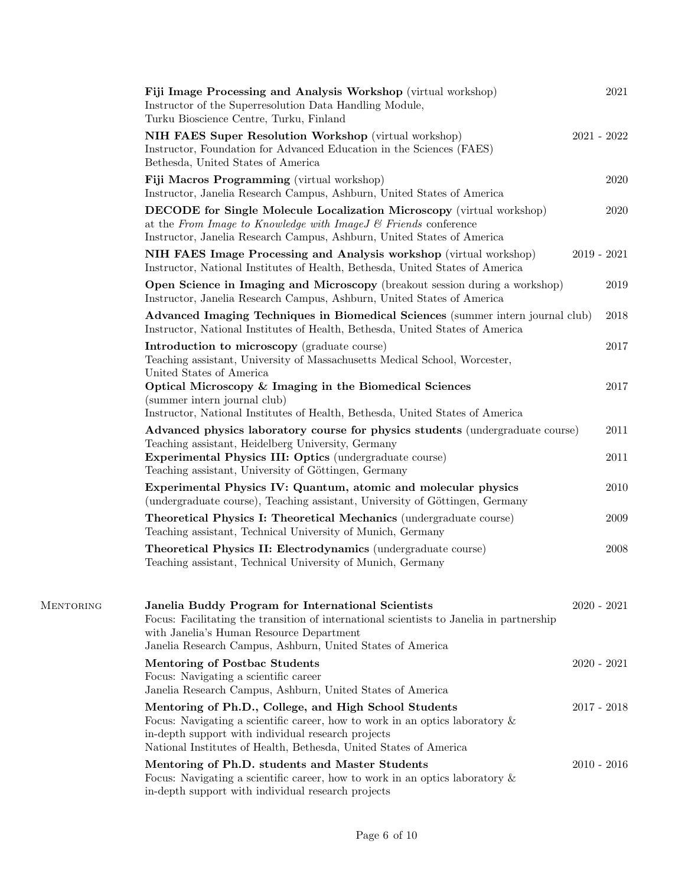|           | Fiji Image Processing and Analysis Workshop (virtual workshop)<br>Instructor of the Superresolution Data Handling Module,<br>Turku Bioscience Centre, Turku, Finland                                                                                                | 2021          |
|-----------|---------------------------------------------------------------------------------------------------------------------------------------------------------------------------------------------------------------------------------------------------------------------|---------------|
|           | NIH FAES Super Resolution Workshop (virtual workshop)<br>Instructor, Foundation for Advanced Education in the Sciences (FAES)<br>Bethesda, United States of America                                                                                                 | $2021 - 2022$ |
|           | Fiji Macros Programming (virtual workshop)<br>Instructor, Janelia Research Campus, Ashburn, United States of America                                                                                                                                                | 2020          |
|           | <b>DECODE</b> for Single Molecule Localization Microscopy (virtual workshop)<br>at the From Image to Knowledge with Image J & Friends conference<br>Instructor, Janelia Research Campus, Ashburn, United States of America                                          | 2020          |
|           | NIH FAES Image Processing and Analysis workshop (virtual workshop)<br>Instructor, National Institutes of Health, Bethesda, United States of America                                                                                                                 | $2019 - 2021$ |
|           | Open Science in Imaging and Microscopy (breakout session during a workshop)<br>Instructor, Janelia Research Campus, Ashburn, United States of America                                                                                                               | 2019          |
|           | Advanced Imaging Techniques in Biomedical Sciences (summer intern journal club)<br>Instructor, National Institutes of Health, Bethesda, United States of America                                                                                                    | 2018          |
|           | Introduction to microscopy (graduate course)<br>Teaching assistant, University of Massachusetts Medical School, Worcester,<br>United States of America                                                                                                              | 2017          |
|           | Optical Microscopy & Imaging in the Biomedical Sciences<br>(summer intern journal club)<br>Instructor, National Institutes of Health, Bethesda, United States of America                                                                                            | 2017          |
|           | Advanced physics laboratory course for physics students (undergraduate course)<br>Teaching assistant, Heidelberg University, Germany<br><b>Experimental Physics III: Optics (undergraduate course)</b><br>Teaching assistant, University of Göttingen, Germany      | 2011<br>2011  |
|           | Experimental Physics IV: Quantum, atomic and molecular physics<br>(undergraduate course), Teaching assistant, University of Göttingen, Germany                                                                                                                      | 2010          |
|           | Theoretical Physics I: Theoretical Mechanics (undergraduate course)<br>Teaching assistant, Technical University of Munich, Germany                                                                                                                                  | 2009          |
|           | Theoretical Physics II: Electrodynamics (undergraduate course)<br>Teaching assistant, Technical University of Munich, Germany                                                                                                                                       | 2008          |
| MENTORING | Janelia Buddy Program for International Scientists<br>Focus: Facilitating the transition of international scientists to Janelia in partnership<br>with Janelia's Human Resource Department<br>Janelia Research Campus, Ashburn, United States of America            | $2020 - 2021$ |
|           | <b>Mentoring of Postbac Students</b><br>Focus: Navigating a scientific career<br>Janelia Research Campus, Ashburn, United States of America                                                                                                                         | $2020 - 2021$ |
|           | Mentoring of Ph.D., College, and High School Students<br>Focus: Navigating a scientific career, how to work in an optics laboratory $\&$<br>in-depth support with individual research projects<br>National Institutes of Health, Bethesda, United States of America | $2017 - 2018$ |
|           | Mentoring of Ph.D. students and Master Students<br>Focus: Navigating a scientific career, how to work in an optics laboratory $\&$<br>in-depth support with individual research projects                                                                            | $2010 - 2016$ |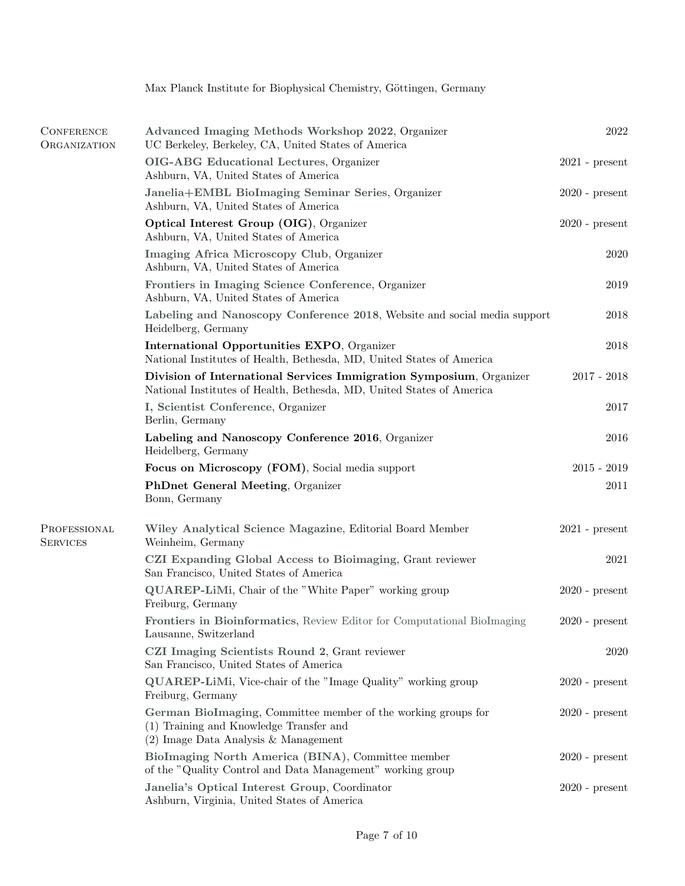|                                          | Max Planck Institute for Biophysical Chemistry, Göttingen, Germany                                                                                 |                  |
|------------------------------------------|----------------------------------------------------------------------------------------------------------------------------------------------------|------------------|
|                                          |                                                                                                                                                    |                  |
| <b>CONFERENCE</b><br><b>ORGANIZATION</b> | Advanced Imaging Methods Workshop 2022, Organizer<br>UC Berkeley, Berkeley, CA, United States of America                                           | 2022             |
|                                          | OIG-ABG Educational Lectures, Organizer<br>Ashburn, VA, United States of America                                                                   | $2021$ - present |
|                                          | Janelia+EMBL BioImaging Seminar Series, Organizer<br>Ashburn, VA, United States of America                                                         | $2020$ - present |
|                                          | Optical Interest Group (OIG), Organizer<br>Ashburn, VA, United States of America                                                                   | $2020$ - present |
|                                          | Imaging Africa Microscopy Club, Organizer<br>Ashburn, VA, United States of America                                                                 | 2020             |
|                                          | Frontiers in Imaging Science Conference, Organizer<br>Ashburn, VA, United States of America                                                        | 2019             |
|                                          | Labeling and Nanoscopy Conference 2018, Website and social media support<br>Heidelberg, Germany                                                    | 2018             |
|                                          | International Opportunities EXPO, Organizer<br>National Institutes of Health, Bethesda, MD, United States of America                               | 2018             |
|                                          | Division of International Services Immigration Symposium, Organizer<br>National Institutes of Health, Bethesda, MD, United States of America       | $2017 - 2018$    |
|                                          | I, Scientist Conference, Organizer<br>Berlin, Germany                                                                                              | 2017             |
|                                          | Labeling and Nanoscopy Conference 2016, Organizer<br>Heidelberg, Germany                                                                           | 2016             |
|                                          | Focus on Microscopy (FOM), Social media support                                                                                                    | $2015 - 2019$    |
|                                          | <b>PhDnet General Meeting, Organizer</b><br>Bonn, Germany                                                                                          | 2011             |
| PROFESSIONAL<br><b>SERVICES</b>          | Wiley Analytical Science Magazine, Editorial Board Member<br>Weinheim, Germany                                                                     | $2021$ - present |
|                                          | CZI Expanding Global Access to Bioimaging, Grant reviewer<br>San Francisco, United States of America                                               | 2021             |
|                                          | QUAREP-LiMi, Chair of the "White Paper" working group<br>Freiburg, Germany                                                                         | $2020$ - present |
|                                          | Frontiers in Bioinformatics, Review Editor for Computational BioImaging<br>Lausanne, Switzerland                                                   | $2020$ - present |
|                                          | CZI Imaging Scientists Round 2, Grant reviewer<br>San Francisco, United States of America                                                          | 2020             |
|                                          | <b>QUAREP-LiMi</b> , Vice-chair of the "Image Quality" working group<br>Freiburg, Germany                                                          | $2020$ - present |
|                                          | German BioImaging, Committee member of the working groups for<br>(1) Training and Knowledge Transfer and<br>$(2)$ Image Data Analysis & Management | $2020$ - present |
|                                          | BioImaging North America (BINA), Committee member<br>of the "Quality Control and Data Management" working group                                    | $2020$ - present |
|                                          | Janelia's Optical Interest Group, Coordinator<br>Ashburn, Virginia, United States of America                                                       | $2020$ - present |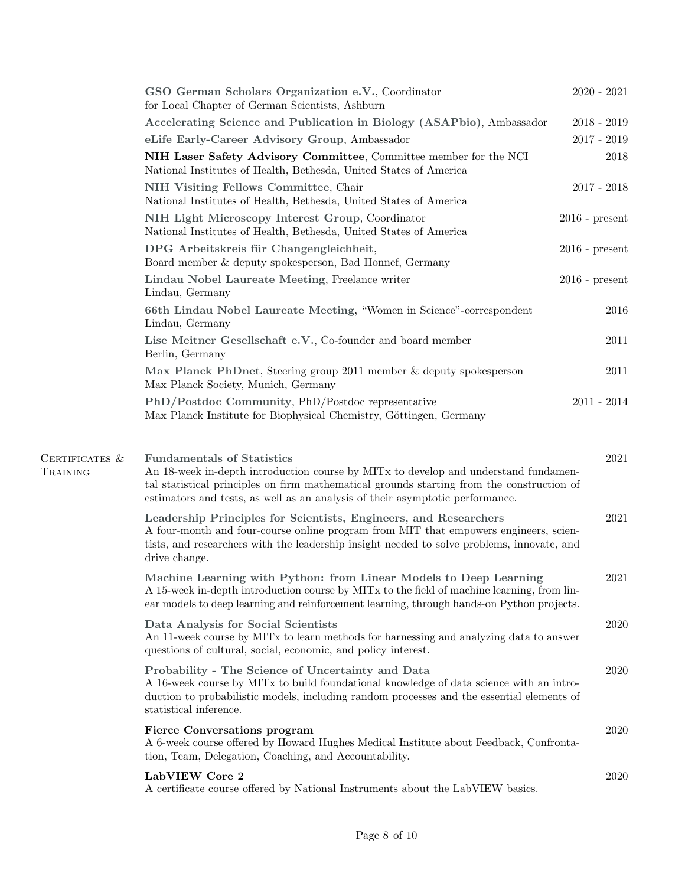|                            | GSO German Scholars Organization e.V., Coordinator<br>for Local Chapter of German Scientists, Ashburn                                                                                                                                                                                                  | $2020 - 2021$    |
|----------------------------|--------------------------------------------------------------------------------------------------------------------------------------------------------------------------------------------------------------------------------------------------------------------------------------------------------|------------------|
|                            | Accelerating Science and Publication in Biology (ASAPbio), Ambassador                                                                                                                                                                                                                                  | $2018 - 2019$    |
|                            | eLife Early-Career Advisory Group, Ambassador                                                                                                                                                                                                                                                          | $2017 - 2019$    |
|                            | NIH Laser Safety Advisory Committee, Committee member for the NCI<br>National Institutes of Health, Bethesda, United States of America                                                                                                                                                                 | 2018             |
|                            | NIH Visiting Fellows Committee, Chair<br>National Institutes of Health, Bethesda, United States of America                                                                                                                                                                                             | $2017 - 2018$    |
|                            | NIH Light Microscopy Interest Group, Coordinator<br>National Institutes of Health, Bethesda, United States of America                                                                                                                                                                                  | $2016$ - present |
|                            | DPG Arbeitskreis für Changengleichheit,<br>Board member & deputy spokesperson, Bad Honnef, Germany                                                                                                                                                                                                     | $2016$ - present |
|                            | Lindau Nobel Laureate Meeting, Freelance writer<br>Lindau, Germany                                                                                                                                                                                                                                     | $2016$ - present |
|                            | 66th Lindau Nobel Laureate Meeting, "Women in Science"-correspondent<br>Lindau, Germany                                                                                                                                                                                                                | 2016             |
|                            | Lise Meitner Gesellschaft e.V., Co-founder and board member<br>Berlin, Germany                                                                                                                                                                                                                         | 2011             |
|                            | Max Planck PhDnet, Steering group 2011 member & deputy spokesperson<br>Max Planck Society, Munich, Germany                                                                                                                                                                                             | 2011             |
|                            | PhD/Postdoc Community, PhD/Postdoc representative<br>Max Planck Institute for Biophysical Chemistry, Göttingen, Germany                                                                                                                                                                                | $2011 - 2014$    |
| CERTIFICATES &<br>TRAINING | <b>Fundamentals of Statistics</b><br>An 18-week in-depth introduction course by MITx to develop and understand fundamen-<br>tal statistical principles on firm mathematical grounds starting from the construction of<br>estimators and tests, as well as an analysis of their asymptotic performance. | 2021             |
|                            | Leadership Principles for Scientists, Engineers, and Researchers<br>A four-month and four-course online program from MIT that empowers engineers, scien-<br>tists, and researchers with the leadership insight needed to solve problems, innovate, and<br>drive change.                                | 2021             |
|                            | Machine Learning with Python: from Linear Models to Deep Learning<br>A 15-week in-depth introduction course by MITx to the field of machine learning, from lin-<br>ear models to deep learning and reinforcement learning, through hands-on Python projects.                                           | 2021             |
|                            | Data Analysis for Social Scientists<br>An 11-week course by MITx to learn methods for harnessing and analyzing data to answer<br>questions of cultural, social, economic, and policy interest.                                                                                                         | 2020             |
|                            | Probability - The Science of Uncertainty and Data<br>A 16-week course by MITx to build foundational knowledge of data science with an intro-<br>duction to probabilistic models, including random processes and the essential elements of<br>statistical inference.                                    | 2020             |
|                            | <b>Fierce Conversations program</b><br>A 6-week course offered by Howard Hughes Medical Institute about Feedback, Confronta-<br>tion, Team, Delegation, Coaching, and Accountability.                                                                                                                  | 2020             |
|                            | LabVIEW Core 2<br>A certificate course offered by National Instruments about the LabVIEW basics.                                                                                                                                                                                                       | 2020             |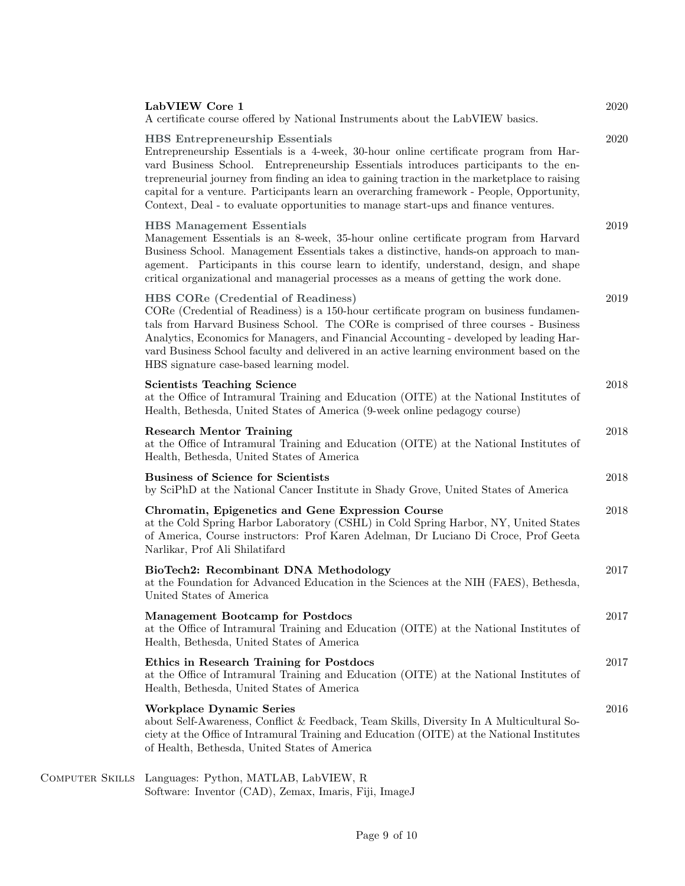| LabVIEW Core 1<br>A certificate course offered by National Instruments about the LabVIEW basics.                                                                                                                                                                                                                                                                                                                                                                                                            | 2020 |
|-------------------------------------------------------------------------------------------------------------------------------------------------------------------------------------------------------------------------------------------------------------------------------------------------------------------------------------------------------------------------------------------------------------------------------------------------------------------------------------------------------------|------|
| <b>HBS</b> Entrepreneurship Essentials<br>Entrepreneurship Essentials is a 4-week, 30-hour online certificate program from Har-<br>vard Business School. Entrepreneurship Essentials introduces participants to the en-<br>trepreneurial journey from finding an idea to gaining traction in the marketplace to raising<br>capital for a venture. Participants learn an overarching framework - People, Opportunity,<br>Context, Deal - to evaluate opportunities to manage start-ups and finance ventures. | 2020 |
| <b>HBS</b> Management Essentials<br>Management Essentials is an 8-week, 35-hour online certificate program from Harvard<br>Business School. Management Essentials takes a distinctive, hands-on approach to man-<br>agement. Participants in this course learn to identify, understand, design, and shape<br>critical organizational and managerial processes as a means of getting the work done.                                                                                                          | 2019 |
| HBS CORe (Credential of Readiness)<br>CORe (Credential of Readiness) is a 150-hour certificate program on business fundamen-<br>tals from Harvard Business School. The CORe is comprised of three courses - Business<br>Analytics, Economics for Managers, and Financial Accounting - developed by leading Har-<br>vard Business School faculty and delivered in an active learning environment based on the<br>HBS signature case-based learning model.                                                    | 2019 |
| <b>Scientists Teaching Science</b><br>at the Office of Intramural Training and Education (OITE) at the National Institutes of<br>Health, Bethesda, United States of America (9-week online pedagogy course)                                                                                                                                                                                                                                                                                                 | 2018 |
| <b>Research Mentor Training</b><br>at the Office of Intramural Training and Education (OITE) at the National Institutes of<br>Health, Bethesda, United States of America                                                                                                                                                                                                                                                                                                                                    | 2018 |
| <b>Business of Science for Scientists</b><br>by SciPhD at the National Cancer Institute in Shady Grove, United States of America                                                                                                                                                                                                                                                                                                                                                                            | 2018 |
| Chromatin, Epigenetics and Gene Expression Course<br>at the Cold Spring Harbor Laboratory (CSHL) in Cold Spring Harbor, NY, United States<br>of America, Course instructors: Prof Karen Adelman, Dr Luciano Di Croce, Prof Geeta<br>Narlikar, Prof Ali Shilatifard                                                                                                                                                                                                                                          | 2018 |
| BioTech2: Recombinant DNA Methodology<br>at the Foundation for Advanced Education in the Sciences at the NIH (FAES), Bethesda,<br>United States of America                                                                                                                                                                                                                                                                                                                                                  | 2017 |
| <b>Management Bootcamp for Postdocs</b><br>at the Office of Intramural Training and Education (OITE) at the National Institutes of<br>Health, Bethesda, United States of America                                                                                                                                                                                                                                                                                                                            | 2017 |
| Ethics in Research Training for Postdocs<br>at the Office of Intramural Training and Education (OITE) at the National Institutes of<br>Health, Bethesda, United States of America                                                                                                                                                                                                                                                                                                                           | 2017 |
| <b>Workplace Dynamic Series</b><br>about Self-Awareness, Conflict & Feedback, Team Skills, Diversity In A Multicultural So-<br>ciety at the Office of Intramural Training and Education (OITE) at the National Institutes<br>of Health, Bethesda, United States of America                                                                                                                                                                                                                                  | 2016 |
| COMPUTER SKILLS Languages: Python, MATLAB, LabVIEW, R                                                                                                                                                                                                                                                                                                                                                                                                                                                       |      |

Software: Inventor (CAD), Zemax, Imaris, Fiji, ImageJ